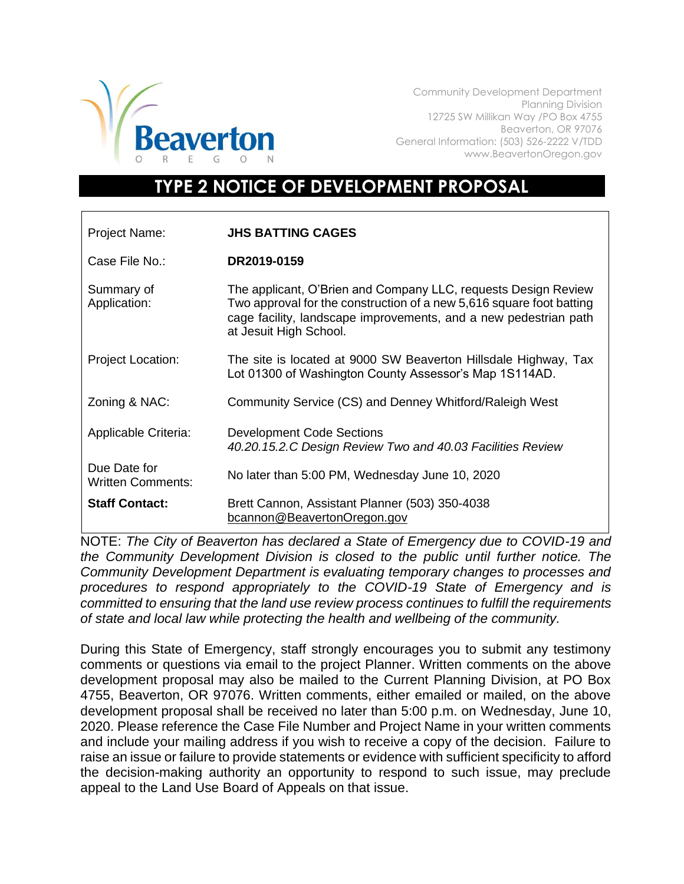

Community Development Department Planning Division 12725 SW Millikan Way /PO Box 4755 Beaverton, OR 97076 General Information: (503) 526-2222 V/TDD www.BeavertonOregon.gov

## **TYPE 2 NOTICE OF DEVELOPMENT PROPOSAL**

| Project Name:                            | <b>JHS BATTING CAGES</b>                                                                                                                                                                                                             |
|------------------------------------------|--------------------------------------------------------------------------------------------------------------------------------------------------------------------------------------------------------------------------------------|
| Case File No.:                           | DR2019-0159                                                                                                                                                                                                                          |
| Summary of<br>Application:               | The applicant, O'Brien and Company LLC, requests Design Review<br>Two approval for the construction of a new 5,616 square foot batting<br>cage facility, landscape improvements, and a new pedestrian path<br>at Jesuit High School. |
| <b>Project Location:</b>                 | The site is located at 9000 SW Beaverton Hillsdale Highway, Tax<br>Lot 01300 of Washington County Assessor's Map 1S114AD.                                                                                                            |
| Zoning & NAC:                            | Community Service (CS) and Denney Whitford/Raleigh West                                                                                                                                                                              |
| Applicable Criteria:                     | <b>Development Code Sections</b><br>40.20.15.2.C Design Review Two and 40.03 Facilities Review                                                                                                                                       |
| Due Date for<br><b>Written Comments:</b> | No later than 5:00 PM, Wednesday June 10, 2020                                                                                                                                                                                       |
| <b>Staff Contact:</b>                    | Brett Cannon, Assistant Planner (503) 350-4038<br>bcannon@BeavertonOregon.gov                                                                                                                                                        |

NOTE: *The City of Beaverton has declared a State of Emergency due to COVID-19 and the Community Development Division is closed to the public until further notice. The Community Development Department is evaluating temporary changes to processes and procedures to respond appropriately to the COVID-19 State of Emergency and is committed to ensuring that the land use review process continues to fulfill the requirements of state and local law while protecting the health and wellbeing of the community.*

During this State of Emergency, staff strongly encourages you to submit any testimony comments or questions via email to the project Planner. Written comments on the above development proposal may also be mailed to the Current Planning Division, at PO Box 4755, Beaverton, OR 97076. Written comments, either emailed or mailed, on the above development proposal shall be received no later than 5:00 p.m. on Wednesday, June 10, 2020. Please reference the Case File Number and Project Name in your written comments and include your mailing address if you wish to receive a copy of the decision. Failure to raise an issue or failure to provide statements or evidence with sufficient specificity to afford the decision-making authority an opportunity to respond to such issue, may preclude appeal to the Land Use Board of Appeals on that issue.